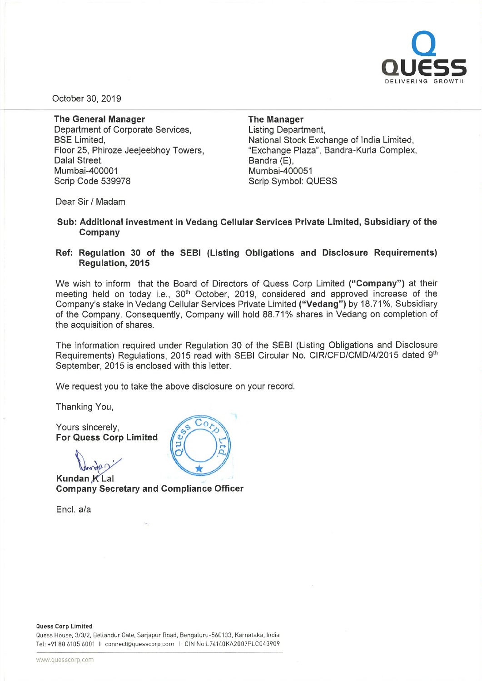

October 30, 2019

The General Manager Department of Corporate Services, BSE Limited, Floor 25, Phiroze Jeejeebhoy Towers, Dalal Street, Mumbai-400001 Scrip Code 539978

## The Manager

Listing Department, National Stock Exchange of India Limited, "Exchange Plaza", Bandra-Kurla Complex, Bandra (E), Mumbai-400051 Scrip Symbol: QUESS

Dear Sir / Madam

## Sub: Additional investment in Vedang Cellular Services Private Limited, Subsidiary of the Company

## Ref: Regulation 30 of the SEBI (Listing Obligations and Disclosure Requirements) Regulation, 2015

We wish to inform that the Board of Directors of Quess Corp Limited ("Company") at their meeting held on today i.e., 30<sup>th</sup> October, 2019, considered and approved increase of the Company's stake in Vedang Cellular Services Private Limited ("Vedang") by 18.71%, Subsidiary of the Company. Consequently, Company will hold 88.71% shares in Vedang on completion of the acquisition of shares.

The information required under Regulation 30 of the SEBI (Listing Obligations and Disclosure Requirements) Regulations, <sup>2015</sup> read with SEBI Circular No. CIR/CFD/CMD/4/2015 dated 9th September, 2015 is enclosed with this letter.

We request you to take the above disclosure on your record.

Thanking You,

Yours sincerely, For Quess Corp Limited

Kundan K Lal Company Secretary and Compliance Officer

Encl. a/a



Quess House, 3/3/2, Bellandur Gate, Sarjapur Road, Bengaluru-560103, Karnataka, India Tel: +91806105 6001 I connect@quesscorp com I CIN No.L74140KA2007PLC043909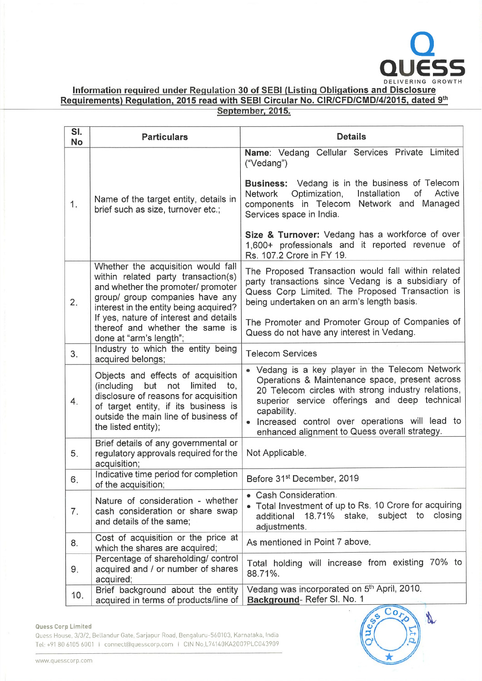

DELIVERING GROWTH<br>Information required under Regulation 30 of SEBI (Listing Obligations and Disclosure Requirements) Regulation, 2015 read with SEBI Circular No. CIR/CFD/CMD/4/2015, dated 9th September, 2015.

| SI.<br><b>No</b> | <b>Particulars</b>                                                                                                                                                                                                                                                                                   | <b>Details</b>                                                                                                                                                                                                                                                                                                                                                                         |  |  |  |
|------------------|------------------------------------------------------------------------------------------------------------------------------------------------------------------------------------------------------------------------------------------------------------------------------------------------------|----------------------------------------------------------------------------------------------------------------------------------------------------------------------------------------------------------------------------------------------------------------------------------------------------------------------------------------------------------------------------------------|--|--|--|
| 1.               | Name of the target entity, details in<br>brief such as size, turnover etc.;                                                                                                                                                                                                                          | Name: Vedang Cellular Services Private Limited<br>("Vedang")<br>Business: Vedang is in the business of Telecom<br>Active<br>Optimization,<br>Installation<br>of<br>Network<br>components in Telecom Network and Managed<br>Services space in India.<br>Size & Turnover: Vedang has a workforce of over<br>1,600+ professionals and it reported revenue of<br>Rs. 107.2 Crore in FY 19. |  |  |  |
| 2.               | Whether the acquisition would fall<br>within related party transaction(s)<br>and whether the promoter/ promoter<br>group/ group companies have any<br>interest in the entity being acquired?<br>If yes, nature of interest and details<br>thereof and whether the same is<br>done at "arm's length"; | The Proposed Transaction would fall within related<br>party transactions since Vedang is a subsidiary of<br>Quess Corp Limited. The Proposed Transaction is<br>being undertaken on an arm's length basis.<br>The Promoter and Promoter Group of Companies of<br>Quess do not have any interest in Vedang.                                                                              |  |  |  |
| 3.               | Industry to which the entity being<br>acquired belongs;                                                                                                                                                                                                                                              | <b>Telecom Services</b>                                                                                                                                                                                                                                                                                                                                                                |  |  |  |
| 4.               | Objects and effects of acquisition<br>(including<br>but<br>limited<br>not<br>to,<br>disclosure of reasons for acquisition<br>of target entity, if its business is<br>outside the main line of business of<br>the listed entity);                                                                     | . Vedang is a key player in the Telecom Network<br>Operations & Maintenance space, present across<br>20 Telecom circles with strong industry relations,<br>superior service offerings and deep technical<br>capability.<br>Increased control over operations will lead to<br>enhanced alignment to Quess overall strategy.                                                             |  |  |  |
| 5.               | Brief details of any governmental or<br>regulatory approvals required for the<br>acquisition;                                                                                                                                                                                                        | Not Applicable.                                                                                                                                                                                                                                                                                                                                                                        |  |  |  |
| 6.               | Indicative time period for completion<br>of the acquisition;                                                                                                                                                                                                                                         | Before 31 <sup>st</sup> December, 2019                                                                                                                                                                                                                                                                                                                                                 |  |  |  |
| 7.               | Nature of consideration - whether<br>cash consideration or share swap<br>and details of the same;                                                                                                                                                                                                    | • Cash Consideration.<br>• Total Investment of up to Rs. 10 Crore for acquiring<br>closing<br>18.71% stake, subject to<br>additional<br>adjustments.                                                                                                                                                                                                                                   |  |  |  |
| 8.               | Cost of acquisition or the price at<br>which the shares are acquired;                                                                                                                                                                                                                                | As mentioned in Point 7 above.                                                                                                                                                                                                                                                                                                                                                         |  |  |  |
| 9.               | Percentage of shareholding/ control<br>acquired and / or number of shares<br>acquired;                                                                                                                                                                                                               | Total holding will increase from existing 70% to<br>88.71%.                                                                                                                                                                                                                                                                                                                            |  |  |  |
| 10.              | Brief background about the entity<br>acquired in terms of products/line of                                                                                                                                                                                                                           | Vedang was incorporated on 5th April, 2010.<br>Background-Refer SI. No. 1                                                                                                                                                                                                                                                                                                              |  |  |  |

## **Quess Corp Limited**

p Limited<br>se, 3/3/2. Bellandur Gate, Sarjapur Road, Bengaluru-560103, Karnataka, India<br>6105 6001 I connect@quesscorp.com I CIN No.L74140KA2007PLC043909 Quess Corp Limited<br>Quess House, 3/3/2, Bellandur Gate, Sarjapur Road, Bengaluru-560103, Karnataka, India<br>Tel: +91 80 6105 6001 | connect@quesscorp.com | CIN No.L74140KA2007PLC043909<br>www.quesscorp.com